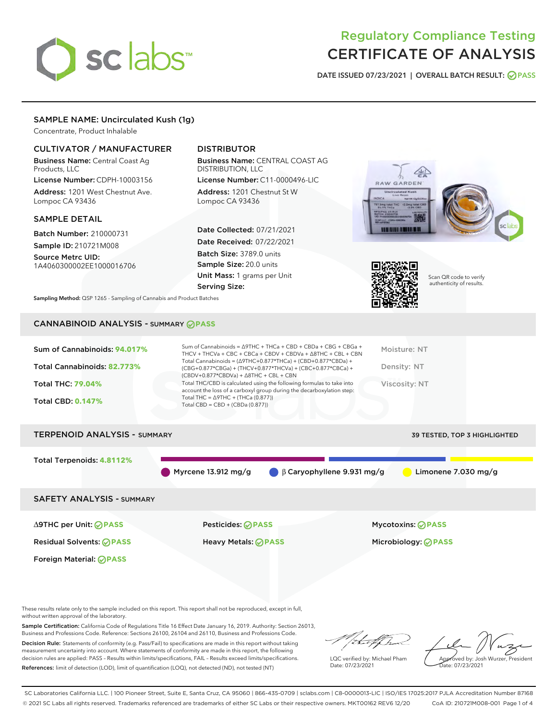# sclabs<sup>\*</sup>

# Regulatory Compliance Testing CERTIFICATE OF ANALYSIS

DATE ISSUED 07/23/2021 | OVERALL BATCH RESULT: @ PASS

# SAMPLE NAME: Uncirculated Kush (1g)

Concentrate, Product Inhalable

# CULTIVATOR / MANUFACTURER

Business Name: Central Coast Ag Products, LLC

License Number: CDPH-10003156 Address: 1201 West Chestnut Ave. Lompoc CA 93436

#### SAMPLE DETAIL

Batch Number: 210000731 Sample ID: 210721M008

Source Metrc UID: 1A4060300002EE1000016706

# DISTRIBUTOR

Business Name: CENTRAL COAST AG DISTRIBUTION, LLC

License Number: C11-0000496-LIC Address: 1201 Chestnut St W Lompoc CA 93436

Date Collected: 07/21/2021 Date Received: 07/22/2021 Batch Size: 3789.0 units Sample Size: 20.0 units Unit Mass: 1 grams per Unit Serving Size:





Scan QR code to verify authenticity of results.

Sampling Method: QSP 1265 - Sampling of Cannabis and Product Batches

# CANNABINOID ANALYSIS - SUMMARY **PASS**

| Sum of Cannabinoids: 94.017%<br>Total Cannabinoids: 82.773% | Sum of Cannabinoids = $\triangle$ 9THC + THCa + CBD + CBDa + CBG + CBGa +<br>THCV + THCVa + CBC + CBCa + CBDV + CBDVa + $\Delta$ 8THC + CBL + CBN<br>Total Cannabinoids = $(\Delta$ 9THC+0.877*THCa) + (CBD+0.877*CBDa) +<br>(CBG+0.877*CBGa) + (THCV+0.877*THCVa) + (CBC+0.877*CBCa) +<br>$(CBDV+0.877*CBDVa) + \Delta 8THC + CBL + CBN$ | Moisture: NT<br>Density: NT |
|-------------------------------------------------------------|-------------------------------------------------------------------------------------------------------------------------------------------------------------------------------------------------------------------------------------------------------------------------------------------------------------------------------------------|-----------------------------|
| <b>Total THC: 79.04%</b><br><b>Total CBD: 0.147%</b>        | Total THC/CBD is calculated using the following formulas to take into<br>account the loss of a carboxyl group during the decarboxylation step:<br>Total THC = $\triangle$ 9THC + (THCa (0.877))                                                                                                                                           | Viscosity: NT               |
|                                                             | Total CBD = $CBD + (CBDa (0.877))$                                                                                                                                                                                                                                                                                                        |                             |

# TERPENOID ANALYSIS - SUMMARY 39 TESTED, TOP 3 HIGHLIGHTED

Total Terpenoids: **4.8112%**

Myrcene 13.912 mg/g β Caryophyllene 9.931 mg/g Limonene 7.030 mg/g

SAFETY ANALYSIS - SUMMARY

∆9THC per Unit: **PASS** Pesticides: **PASS** Mycotoxins: **PASS**

Foreign Material: **PASS**

Residual Solvents: **PASS** Heavy Metals: **PASS** Microbiology: **PASS**

These results relate only to the sample included on this report. This report shall not be reproduced, except in full, without written approval of the laboratory.

Sample Certification: California Code of Regulations Title 16 Effect Date January 16, 2019. Authority: Section 26013, Business and Professions Code. Reference: Sections 26100, 26104 and 26110, Business and Professions Code.

Decision Rule: Statements of conformity (e.g. Pass/Fail) to specifications are made in this report without taking measurement uncertainty into account. Where statements of conformity are made in this report, the following decision rules are applied: PASS – Results within limits/specifications, FAIL – Results exceed limits/specifications. References: limit of detection (LOD), limit of quantification (LOQ), not detected (ND), not tested (NT)

:t=4fh

LQC verified by: Michael Pham Date: 07/23/2021

Approved by: Josh Wurzer, President ate: 07/23/2021

SC Laboratories California LLC. | 100 Pioneer Street, Suite E, Santa Cruz, CA 95060 | 866-435-0709 | sclabs.com | C8-0000013-LIC | ISO/IES 17025:2017 PJLA Accreditation Number 87168 © 2021 SC Labs all rights reserved. Trademarks referenced are trademarks of either SC Labs or their respective owners. MKT00162 REV6 12/20 CoA ID: 210721M008-001 Page 1 of 4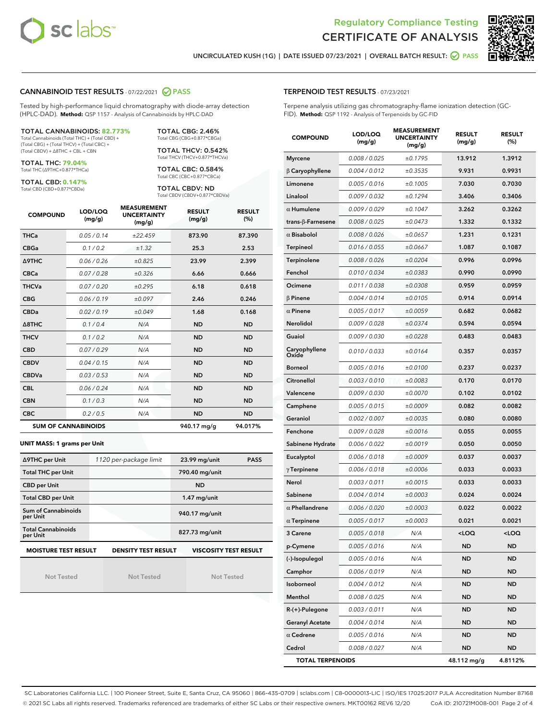



UNCIRCULATED KUSH (1G) | DATE ISSUED 07/23/2021 | OVERALL BATCH RESULT: **○** PASS

#### CANNABINOID TEST RESULTS - 07/22/2021 2 PASS

Tested by high-performance liquid chromatography with diode-array detection (HPLC-DAD). **Method:** QSP 1157 - Analysis of Cannabinoids by HPLC-DAD

#### TOTAL CANNABINOIDS: **82.773%**

Total Cannabinoids (Total THC) + (Total CBD) + (Total CBG) + (Total THCV) + (Total CBC) + (Total CBDV) + ∆8THC + CBL + CBN

TOTAL THC: **79.04%** Total THC (∆9THC+0.877\*THCa)

TOTAL CBD: **0.147%**

Total CBD (CBD+0.877\*CBDa)

TOTAL CBG: 2.46% Total CBG (CBG+0.877\*CBGa)

TOTAL THCV: 0.542% Total THCV (THCV+0.877\*THCVa)

TOTAL CBC: 0.584% Total CBC (CBC+0.877\*CBCa)

TOTAL CBDV: ND Total CBDV (CBDV+0.877\*CBDVa)

| <b>COMPOUND</b> | LOD/LOQ<br>(mg/g)          | <b>MEASUREMENT</b><br><b>UNCERTAINTY</b><br>(mg/g) | <b>RESULT</b><br>(mg/g) | <b>RESULT</b><br>(%) |
|-----------------|----------------------------|----------------------------------------------------|-------------------------|----------------------|
| <b>THCa</b>     | 0.05/0.14                  | ±22.459                                            | 873.90                  | 87.390               |
| <b>CBGa</b>     | 0.1/0.2                    | ±1.32                                              | 25.3                    | 2.53                 |
| <b>A9THC</b>    | 0.06 / 0.26                | ±0.825                                             | 23.99                   | 2.399                |
| <b>CBCa</b>     | 0.07/0.28                  | ±0.326                                             | 6.66                    | 0.666                |
| <b>THCVa</b>    | 0.07/0.20                  | ±0.295                                             | 6.18                    | 0.618                |
| <b>CBG</b>      | 0.06/0.19                  | ±0.097                                             | 2.46                    | 0.246                |
| <b>CBDa</b>     | 0.02/0.19                  | ±0.049                                             | 1.68                    | 0.168                |
| A8THC           | 0.1/0.4                    | N/A                                                | <b>ND</b>               | <b>ND</b>            |
| <b>THCV</b>     | 0.1/0.2                    | N/A                                                | <b>ND</b>               | <b>ND</b>            |
| <b>CBD</b>      | 0.07/0.29                  | N/A                                                | <b>ND</b>               | <b>ND</b>            |
| <b>CBDV</b>     | 0.04 / 0.15                | N/A                                                | <b>ND</b>               | <b>ND</b>            |
| <b>CBDVa</b>    | 0.03/0.53                  | N/A                                                | <b>ND</b>               | <b>ND</b>            |
| <b>CBL</b>      | 0.06 / 0.24                | N/A                                                | <b>ND</b>               | <b>ND</b>            |
| <b>CBN</b>      | 0.1/0.3                    | N/A                                                | <b>ND</b>               | <b>ND</b>            |
| <b>CBC</b>      | 0.2 / 0.5                  | N/A                                                | <b>ND</b>               | <b>ND</b>            |
|                 | <b>SUM OF CANNABINOIDS</b> |                                                    | 940.17 mg/g             | 94.017%              |

#### **UNIT MASS: 1 grams per Unit**

| ∆9THC per Unit                        | 1120 per-package limit     | 23.99 mg/unit<br><b>PASS</b> |
|---------------------------------------|----------------------------|------------------------------|
| <b>Total THC per Unit</b>             |                            | 790.40 mg/unit               |
| <b>CBD per Unit</b>                   |                            | <b>ND</b>                    |
| <b>Total CBD per Unit</b>             |                            | $1.47$ mg/unit               |
| Sum of Cannabinoids<br>per Unit       |                            | 940.17 mg/unit               |
| <b>Total Cannabinoids</b><br>per Unit |                            | 827.73 mg/unit               |
| <b>MOISTURE TEST RESULT</b>           | <b>DENSITY TEST RESULT</b> | <b>VISCOSITY TEST RESULT</b> |

Not Tested

Not Tested

Not Tested

#### TERPENOID TEST RESULTS - 07/23/2021

Terpene analysis utilizing gas chromatography-flame ionization detection (GC-FID). **Method:** QSP 1192 - Analysis of Terpenoids by GC-FID

| <b>COMPOUND</b>           | LOD/LOQ<br>(mg/g) | <b>MEASUREMENT</b><br><b>UNCERTAINTY</b><br>(mg/g) | <b>RESULT</b><br>(mg/g) | <b>RESULT</b><br>(%) |
|---------------------------|-------------------|----------------------------------------------------|-------------------------|----------------------|
| <b>Myrcene</b>            | 0.008 / 0.025     | ±0.1795                                            | 13.912                  | 1.3912               |
| $\beta$ Caryophyllene     | 0.004 / 0.012     | ±0.3535                                            | 9.931                   | 0.9931               |
| Limonene                  | 0.005 / 0.016     | ±0.1005                                            | 7.030                   | 0.7030               |
| Linalool                  | 0.009 / 0.032     | ±0.1294                                            | 3.406                   | 0.3406               |
| $\alpha$ Humulene         | 0.009/0.029       | ±0.1047                                            | 3.262                   | 0.3262               |
| trans- $\beta$ -Farnesene | 0.008 / 0.025     | ±0.0473                                            | 1.332                   | 0.1332               |
| $\alpha$ Bisabolol        | 0.008 / 0.026     | ±0.0657                                            | 1.231                   | 0.1231               |
| <b>Terpineol</b>          | 0.016 / 0.055     | ±0.0667                                            | 1.087                   | 0.1087               |
| Terpinolene               | 0.008 / 0.026     | ±0.0204                                            | 0.996                   | 0.0996               |
| Fenchol                   | 0.010 / 0.034     | ±0.0383                                            | 0.990                   | 0.0990               |
| Ocimene                   | 0.011 / 0.038     | ±0.0308                                            | 0.959                   | 0.0959               |
| $\beta$ Pinene            | 0.004 / 0.014     | ±0.0105                                            | 0.914                   | 0.0914               |
| $\alpha$ Pinene           | 0.005 / 0.017     | ±0.0059                                            | 0.682                   | 0.0682               |
| Nerolidol                 | 0.009 / 0.028     | ±0.0374                                            | 0.594                   | 0.0594               |
| Guaiol                    | 0.009 / 0.030     | ±0.0228                                            | 0.483                   | 0.0483               |
| Caryophyllene<br>Oxide    | 0.010 / 0.033     | ±0.0164                                            | 0.357                   | 0.0357               |
| <b>Borneol</b>            | 0.005 / 0.016     | ±0.0100                                            | 0.237                   | 0.0237               |
| Citronellol               | 0.003 / 0.010     | ±0.0083                                            | 0.170                   | 0.0170               |
| Valencene                 | 0.009 / 0.030     | ±0.0070                                            | 0.102                   | 0.0102               |
| Camphene                  | 0.005 / 0.015     | ±0.0009                                            | 0.082                   | 0.0082               |
| Geraniol                  | 0.002 / 0.007     | ±0.0035                                            | 0.080                   | 0.0080               |
| Fenchone                  | 0.009 / 0.028     | ±0.0016                                            | 0.055                   | 0.0055               |
| Sabinene Hydrate          | 0.006 / 0.022     | ±0.0019                                            | 0.050                   | 0.0050               |
| Eucalyptol                | 0.006 / 0.018     | ±0.0009                                            | 0.037                   | 0.0037               |
| $\gamma$ Terpinene        | 0.006 / 0.018     | ±0.0006                                            | 0.033                   | 0.0033               |
| Nerol                     | 0.003 / 0.011     | ±0.0015                                            | 0.033                   | 0.0033               |
| Sabinene                  | 0.004 / 0.014     | ±0.0003                                            | 0.024                   | 0.0024               |
| $\alpha$ Phellandrene     | 0.006 / 0.020     | ±0.0003                                            | 0.022                   | 0.0022               |
| $\alpha$ Terpinene        | 0.005 / 0.017     | ±0.0003                                            | 0.021                   | 0.0021               |
| <b>3 Carene</b>           | 0.005 / 0.018     | N/A                                                | $<$ l OO                | <loq< th=""></loq<>  |
| p-Cymene                  | 0.005 / 0.016     | N/A                                                | ND                      | ND                   |
| (-)-Isopulegol            | 0.005 / 0.016     | N/A                                                | ND                      | <b>ND</b>            |
| Camphor                   | 0.006 / 0.019     | N/A                                                | ND                      | <b>ND</b>            |
| Isoborneol                | 0.004 / 0.012     | N/A                                                | ND                      | ND                   |
| Menthol                   | 0.008 / 0.025     | N/A                                                | ND                      | ND                   |
| R-(+)-Pulegone            | 0.003 / 0.011     | N/A                                                | ND                      | ND                   |
| <b>Geranyl Acetate</b>    | 0.004 / 0.014     | N/A                                                | ND                      | ND                   |
| $\alpha$ Cedrene          | 0.005 / 0.016     | N/A                                                | ND                      | ND                   |
| Cedrol                    | 0.008 / 0.027     | N/A                                                | ND                      | ND                   |
| <b>TOTAL TERPENOIDS</b>   |                   | 48.112 mg/g                                        | 4.8112%                 |                      |

SC Laboratories California LLC. | 100 Pioneer Street, Suite E, Santa Cruz, CA 95060 | 866-435-0709 | sclabs.com | C8-0000013-LIC | ISO/IES 17025:2017 PJLA Accreditation Number 87168 © 2021 SC Labs all rights reserved. Trademarks referenced are trademarks of either SC Labs or their respective owners. MKT00162 REV6 12/20 CoA ID: 210721M008-001 Page 2 of 4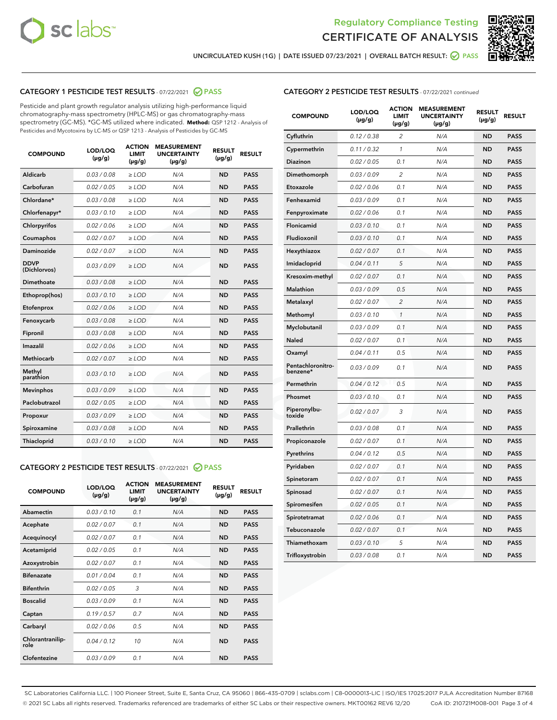



UNCIRCULATED KUSH (1G) | DATE ISSUED 07/23/2021 | OVERALL BATCH RESULT:  $\bigcirc$  PASS

# CATEGORY 1 PESTICIDE TEST RESULTS - 07/22/2021 2 PASS

Pesticide and plant growth regulator analysis utilizing high-performance liquid chromatography-mass spectrometry (HPLC-MS) or gas chromatography-mass spectrometry (GC-MS). \*GC-MS utilized where indicated. **Method:** QSP 1212 - Analysis of Pesticides and Mycotoxins by LC-MS or QSP 1213 - Analysis of Pesticides by GC-MS

| 0.03/0.08<br>Aldicarb<br>$>$ LOD<br>N/A<br><b>ND</b><br><b>PASS</b><br>Carbofuran<br>0.02 / 0.05<br>$\ge$ LOD<br><b>ND</b><br><b>PASS</b><br>N/A<br>Chlordane*<br>0.03/0.08<br><b>PASS</b><br>$>$ LOD<br>N/A<br><b>ND</b><br>0.03/0.10<br><b>PASS</b><br>Chlorfenapyr*<br>$\ge$ LOD<br>N/A<br><b>ND</b><br>Chlorpyrifos<br>0.02 / 0.06<br>N/A<br><b>ND</b><br><b>PASS</b><br>$\ge$ LOD<br>0.02 / 0.07<br>N/A<br><b>ND</b><br><b>PASS</b><br>Coumaphos<br>$\ge$ LOD<br>Daminozide<br>0.02 / 0.07<br>$\ge$ LOD<br>N/A<br><b>ND</b><br><b>PASS</b><br><b>DDVP</b><br>0.03/0.09<br>$\ge$ LOD<br>N/A<br><b>ND</b><br><b>PASS</b><br>(Dichlorvos)<br><b>Dimethoate</b><br>0.03 / 0.08<br>N/A<br><b>ND</b><br><b>PASS</b><br>$\ge$ LOD<br>0.03/0.10<br><b>ND</b><br><b>PASS</b><br>Ethoprop(hos)<br>$\ge$ LOD<br>N/A<br>N/A<br><b>ND</b><br><b>PASS</b><br>Etofenprox<br>0.02 / 0.06<br>$\ge$ LOD<br>0.03 / 0.08<br>N/A<br><b>ND</b><br><b>PASS</b><br>Fenoxycarb<br>$\ge$ LOD<br>0.03/0.08<br>N/A<br><b>ND</b><br><b>PASS</b><br>Fipronil<br>$>$ LOD<br>0.02 / 0.06<br>Imazalil<br>$\ge$ LOD<br>N/A<br><b>ND</b><br><b>PASS</b><br>0.02 / 0.07<br>Methiocarb<br>$\ge$ LOD<br>N/A<br><b>ND</b><br><b>PASS</b><br>Methyl<br>0.03/0.10<br>N/A<br><b>ND</b><br><b>PASS</b><br>$\ge$ LOD<br>parathion<br>0.03/0.09<br><b>ND</b><br><b>PASS</b><br><b>Mevinphos</b><br>$\ge$ LOD<br>N/A<br>Paclobutrazol<br>0.02 / 0.05<br>$>$ LOD<br>N/A<br><b>ND</b><br><b>PASS</b><br>0.03/0.09<br>N/A<br>$\ge$ LOD<br><b>ND</b><br><b>PASS</b><br>Propoxur<br>0.03/0.08<br><b>ND</b><br><b>PASS</b><br>Spiroxamine<br>$\ge$ LOD<br>N/A<br>Thiacloprid<br>0.03/0.10<br>$\ge$ LOD<br>N/A<br><b>ND</b><br><b>PASS</b> | <b>COMPOUND</b> | LOD/LOQ<br>$(\mu g/g)$ | <b>ACTION</b><br><b>LIMIT</b><br>$(\mu g/g)$ | <b>MEASUREMENT</b><br><b>UNCERTAINTY</b><br>$(\mu g/g)$ | <b>RESULT</b><br>$(\mu g/g)$ | <b>RESULT</b> |
|--------------------------------------------------------------------------------------------------------------------------------------------------------------------------------------------------------------------------------------------------------------------------------------------------------------------------------------------------------------------------------------------------------------------------------------------------------------------------------------------------------------------------------------------------------------------------------------------------------------------------------------------------------------------------------------------------------------------------------------------------------------------------------------------------------------------------------------------------------------------------------------------------------------------------------------------------------------------------------------------------------------------------------------------------------------------------------------------------------------------------------------------------------------------------------------------------------------------------------------------------------------------------------------------------------------------------------------------------------------------------------------------------------------------------------------------------------------------------------------------------------------------------------------------------------------------------------------------------------------------------------------------------------------------------------------------|-----------------|------------------------|----------------------------------------------|---------------------------------------------------------|------------------------------|---------------|
|                                                                                                                                                                                                                                                                                                                                                                                                                                                                                                                                                                                                                                                                                                                                                                                                                                                                                                                                                                                                                                                                                                                                                                                                                                                                                                                                                                                                                                                                                                                                                                                                                                                                                            |                 |                        |                                              |                                                         |                              |               |
|                                                                                                                                                                                                                                                                                                                                                                                                                                                                                                                                                                                                                                                                                                                                                                                                                                                                                                                                                                                                                                                                                                                                                                                                                                                                                                                                                                                                                                                                                                                                                                                                                                                                                            |                 |                        |                                              |                                                         |                              |               |
|                                                                                                                                                                                                                                                                                                                                                                                                                                                                                                                                                                                                                                                                                                                                                                                                                                                                                                                                                                                                                                                                                                                                                                                                                                                                                                                                                                                                                                                                                                                                                                                                                                                                                            |                 |                        |                                              |                                                         |                              |               |
|                                                                                                                                                                                                                                                                                                                                                                                                                                                                                                                                                                                                                                                                                                                                                                                                                                                                                                                                                                                                                                                                                                                                                                                                                                                                                                                                                                                                                                                                                                                                                                                                                                                                                            |                 |                        |                                              |                                                         |                              |               |
|                                                                                                                                                                                                                                                                                                                                                                                                                                                                                                                                                                                                                                                                                                                                                                                                                                                                                                                                                                                                                                                                                                                                                                                                                                                                                                                                                                                                                                                                                                                                                                                                                                                                                            |                 |                        |                                              |                                                         |                              |               |
|                                                                                                                                                                                                                                                                                                                                                                                                                                                                                                                                                                                                                                                                                                                                                                                                                                                                                                                                                                                                                                                                                                                                                                                                                                                                                                                                                                                                                                                                                                                                                                                                                                                                                            |                 |                        |                                              |                                                         |                              |               |
|                                                                                                                                                                                                                                                                                                                                                                                                                                                                                                                                                                                                                                                                                                                                                                                                                                                                                                                                                                                                                                                                                                                                                                                                                                                                                                                                                                                                                                                                                                                                                                                                                                                                                            |                 |                        |                                              |                                                         |                              |               |
|                                                                                                                                                                                                                                                                                                                                                                                                                                                                                                                                                                                                                                                                                                                                                                                                                                                                                                                                                                                                                                                                                                                                                                                                                                                                                                                                                                                                                                                                                                                                                                                                                                                                                            |                 |                        |                                              |                                                         |                              |               |
|                                                                                                                                                                                                                                                                                                                                                                                                                                                                                                                                                                                                                                                                                                                                                                                                                                                                                                                                                                                                                                                                                                                                                                                                                                                                                                                                                                                                                                                                                                                                                                                                                                                                                            |                 |                        |                                              |                                                         |                              |               |
|                                                                                                                                                                                                                                                                                                                                                                                                                                                                                                                                                                                                                                                                                                                                                                                                                                                                                                                                                                                                                                                                                                                                                                                                                                                                                                                                                                                                                                                                                                                                                                                                                                                                                            |                 |                        |                                              |                                                         |                              |               |
|                                                                                                                                                                                                                                                                                                                                                                                                                                                                                                                                                                                                                                                                                                                                                                                                                                                                                                                                                                                                                                                                                                                                                                                                                                                                                                                                                                                                                                                                                                                                                                                                                                                                                            |                 |                        |                                              |                                                         |                              |               |
|                                                                                                                                                                                                                                                                                                                                                                                                                                                                                                                                                                                                                                                                                                                                                                                                                                                                                                                                                                                                                                                                                                                                                                                                                                                                                                                                                                                                                                                                                                                                                                                                                                                                                            |                 |                        |                                              |                                                         |                              |               |
|                                                                                                                                                                                                                                                                                                                                                                                                                                                                                                                                                                                                                                                                                                                                                                                                                                                                                                                                                                                                                                                                                                                                                                                                                                                                                                                                                                                                                                                                                                                                                                                                                                                                                            |                 |                        |                                              |                                                         |                              |               |
|                                                                                                                                                                                                                                                                                                                                                                                                                                                                                                                                                                                                                                                                                                                                                                                                                                                                                                                                                                                                                                                                                                                                                                                                                                                                                                                                                                                                                                                                                                                                                                                                                                                                                            |                 |                        |                                              |                                                         |                              |               |
|                                                                                                                                                                                                                                                                                                                                                                                                                                                                                                                                                                                                                                                                                                                                                                                                                                                                                                                                                                                                                                                                                                                                                                                                                                                                                                                                                                                                                                                                                                                                                                                                                                                                                            |                 |                        |                                              |                                                         |                              |               |
|                                                                                                                                                                                                                                                                                                                                                                                                                                                                                                                                                                                                                                                                                                                                                                                                                                                                                                                                                                                                                                                                                                                                                                                                                                                                                                                                                                                                                                                                                                                                                                                                                                                                                            |                 |                        |                                              |                                                         |                              |               |
|                                                                                                                                                                                                                                                                                                                                                                                                                                                                                                                                                                                                                                                                                                                                                                                                                                                                                                                                                                                                                                                                                                                                                                                                                                                                                                                                                                                                                                                                                                                                                                                                                                                                                            |                 |                        |                                              |                                                         |                              |               |
|                                                                                                                                                                                                                                                                                                                                                                                                                                                                                                                                                                                                                                                                                                                                                                                                                                                                                                                                                                                                                                                                                                                                                                                                                                                                                                                                                                                                                                                                                                                                                                                                                                                                                            |                 |                        |                                              |                                                         |                              |               |
|                                                                                                                                                                                                                                                                                                                                                                                                                                                                                                                                                                                                                                                                                                                                                                                                                                                                                                                                                                                                                                                                                                                                                                                                                                                                                                                                                                                                                                                                                                                                                                                                                                                                                            |                 |                        |                                              |                                                         |                              |               |
|                                                                                                                                                                                                                                                                                                                                                                                                                                                                                                                                                                                                                                                                                                                                                                                                                                                                                                                                                                                                                                                                                                                                                                                                                                                                                                                                                                                                                                                                                                                                                                                                                                                                                            |                 |                        |                                              |                                                         |                              |               |
|                                                                                                                                                                                                                                                                                                                                                                                                                                                                                                                                                                                                                                                                                                                                                                                                                                                                                                                                                                                                                                                                                                                                                                                                                                                                                                                                                                                                                                                                                                                                                                                                                                                                                            |                 |                        |                                              |                                                         |                              |               |

#### CATEGORY 2 PESTICIDE TEST RESULTS - 07/22/2021 @ PASS

| <b>COMPOUND</b>          | LOD/LOO<br>$(\mu g/g)$ | <b>ACTION</b><br>LIMIT<br>$(\mu g/g)$ | <b>MEASUREMENT</b><br><b>UNCERTAINTY</b><br>$(\mu g/g)$ | <b>RESULT</b><br>$(\mu g/g)$ | <b>RESULT</b> |
|--------------------------|------------------------|---------------------------------------|---------------------------------------------------------|------------------------------|---------------|
| Abamectin                | 0.03/0.10              | 0.1                                   | N/A                                                     | <b>ND</b>                    | <b>PASS</b>   |
| Acephate                 | 0.02/0.07              | 0.1                                   | N/A                                                     | <b>ND</b>                    | <b>PASS</b>   |
| Acequinocyl              | 0.02/0.07              | 0.1                                   | N/A                                                     | <b>ND</b>                    | <b>PASS</b>   |
| Acetamiprid              | 0.02/0.05              | 0.1                                   | N/A                                                     | <b>ND</b>                    | <b>PASS</b>   |
| Azoxystrobin             | 0.02/0.07              | 0.1                                   | N/A                                                     | <b>ND</b>                    | <b>PASS</b>   |
| <b>Bifenazate</b>        | 0.01 / 0.04            | 0.1                                   | N/A                                                     | <b>ND</b>                    | <b>PASS</b>   |
| <b>Bifenthrin</b>        | 0.02 / 0.05            | 3                                     | N/A                                                     | <b>ND</b>                    | <b>PASS</b>   |
| <b>Boscalid</b>          | 0.03/0.09              | 0.1                                   | N/A                                                     | <b>ND</b>                    | <b>PASS</b>   |
| Captan                   | 0.19/0.57              | 0.7                                   | N/A                                                     | <b>ND</b>                    | <b>PASS</b>   |
| Carbaryl                 | 0.02/0.06              | 0.5                                   | N/A                                                     | <b>ND</b>                    | <b>PASS</b>   |
| Chlorantranilip-<br>role | 0.04/0.12              | 10                                    | N/A                                                     | <b>ND</b>                    | <b>PASS</b>   |
| Clofentezine             | 0.03/0.09              | 0.1                                   | N/A                                                     | <b>ND</b>                    | <b>PASS</b>   |

| <b>COMPOUND</b>               | LOD/LOQ<br>(µg/g) | <b>ACTION</b><br>LIMIT<br>(µg/g) | <b>MEASUREMENT</b><br><b>UNCERTAINTY</b><br>(µg/g) | <b>RESULT</b><br>(µg/g) | <b>RESULT</b> |
|-------------------------------|-------------------|----------------------------------|----------------------------------------------------|-------------------------|---------------|
| Cyfluthrin                    | 0.12 / 0.38       | $\overline{c}$                   | N/A                                                | <b>ND</b>               | <b>PASS</b>   |
| Cypermethrin                  | 0.11/0.32         | 1                                | N/A                                                | <b>ND</b>               | <b>PASS</b>   |
| <b>Diazinon</b>               | 0.02 / 0.05       | 0.1                              | N/A                                                | <b>ND</b>               | <b>PASS</b>   |
| Dimethomorph                  | 0.03 / 0.09       | 2                                | N/A                                                | <b>ND</b>               | <b>PASS</b>   |
| Etoxazole                     | 0.02 / 0.06       | 0.1                              | N/A                                                | <b>ND</b>               | <b>PASS</b>   |
| Fenhexamid                    | 0.03 / 0.09       | 0.1                              | N/A                                                | <b>ND</b>               | <b>PASS</b>   |
| Fenpyroximate                 | 0.02 / 0.06       | 0.1                              | N/A                                                | <b>ND</b>               | <b>PASS</b>   |
| Flonicamid                    | 0.03 / 0.10       | 0.1                              | N/A                                                | <b>ND</b>               | <b>PASS</b>   |
| Fludioxonil                   | 0.03/0.10         | 0.1                              | N/A                                                | <b>ND</b>               | <b>PASS</b>   |
| Hexythiazox                   | 0.02 / 0.07       | 0.1                              | N/A                                                | <b>ND</b>               | <b>PASS</b>   |
| Imidacloprid                  | 0.04 / 0.11       | 5                                | N/A                                                | <b>ND</b>               | <b>PASS</b>   |
| Kresoxim-methyl               | 0.02 / 0.07       | 0.1                              | N/A                                                | <b>ND</b>               | <b>PASS</b>   |
| Malathion                     | 0.03 / 0.09       | 0.5                              | N/A                                                | <b>ND</b>               | <b>PASS</b>   |
| Metalaxyl                     | 0.02 / 0.07       | $\overline{c}$                   | N/A                                                | <b>ND</b>               | <b>PASS</b>   |
| Methomyl                      | 0.03 / 0.10       | 1                                | N/A                                                | <b>ND</b>               | <b>PASS</b>   |
| Myclobutanil                  | 0.03/0.09         | 0.1                              | N/A                                                | <b>ND</b>               | <b>PASS</b>   |
| Naled                         | 0.02 / 0.07       | 0.1                              | N/A                                                | <b>ND</b>               | <b>PASS</b>   |
| Oxamyl                        | 0.04 / 0.11       | 0.5                              | N/A                                                | <b>ND</b>               | <b>PASS</b>   |
| Pentachloronitro-<br>benzene* | 0.03/0.09         | 0.1                              | N/A                                                | <b>ND</b>               | <b>PASS</b>   |
| Permethrin                    | 0.04 / 0.12       | 0.5                              | N/A                                                | <b>ND</b>               | <b>PASS</b>   |
| Phosmet                       | 0.03 / 0.10       | 0.1                              | N/A                                                | <b>ND</b>               | <b>PASS</b>   |
| Piperonylbu-<br>toxide        | 0.02 / 0.07       | 3                                | N/A                                                | <b>ND</b>               | <b>PASS</b>   |
| Prallethrin                   | 0.03 / 0.08       | 0.1                              | N/A                                                | <b>ND</b>               | <b>PASS</b>   |
| Propiconazole                 | 0.02 / 0.07       | 0.1                              | N/A                                                | <b>ND</b>               | <b>PASS</b>   |
| Pyrethrins                    | 0.04 / 0.12       | 0.5                              | N/A                                                | <b>ND</b>               | <b>PASS</b>   |
| Pyridaben                     | 0.02 / 0.07       | 0.1                              | N/A                                                | <b>ND</b>               | <b>PASS</b>   |
| Spinetoram                    | 0.02 / 0.07       | 0.1                              | N/A                                                | <b>ND</b>               | <b>PASS</b>   |
| Spinosad                      | 0.02 / 0.07       | 0.1                              | N/A                                                | <b>ND</b>               | <b>PASS</b>   |
| Spiromesifen                  | 0.02 / 0.05       | 0.1                              | N/A                                                | <b>ND</b>               | <b>PASS</b>   |
| Spirotetramat                 | 0.02 / 0.06       | 0.1                              | N/A                                                | <b>ND</b>               | <b>PASS</b>   |
| Tebuconazole                  | 0.02 / 0.07       | 0.1                              | N/A                                                | <b>ND</b>               | <b>PASS</b>   |
| Thiamethoxam                  | 0.03 / 0.10       | 5                                | N/A                                                | <b>ND</b>               | <b>PASS</b>   |
| Trifloxystrobin               | 0.03 / 0.08       | 0.1                              | N/A                                                | <b>ND</b>               | <b>PASS</b>   |

SC Laboratories California LLC. | 100 Pioneer Street, Suite E, Santa Cruz, CA 95060 | 866-435-0709 | sclabs.com | C8-0000013-LIC | ISO/IES 17025:2017 PJLA Accreditation Number 87168 © 2021 SC Labs all rights reserved. Trademarks referenced are trademarks of either SC Labs or their respective owners. MKT00162 REV6 12/20 CoA ID: 210721M008-001 Page 3 of 4